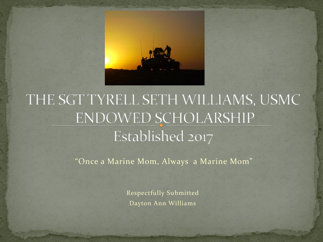

#### THE SGT TYRELL SETH WILLIAMS, USMC **ENDOWED SCHOLARSHIP** Established 2017

"Once a Marine Mom, Always a Marine Mom"

Respectfully Submitted Dayton Ann Williams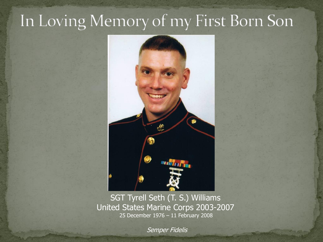### In Loving Memory of my First Born Son



SGT Tyrell Seth (T. S.) Williams United States Marine Corps 2003-2007 25 December 1976 – 11 February 2008

Semper Fidelis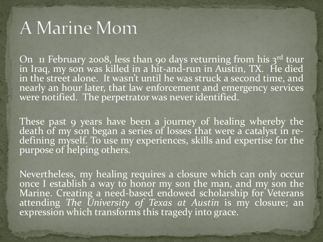### A Marine Mom

On 11 February 2008, less than 90 days returning from his 3<sup>rd</sup> tour in Iraq, my son was killed in a hit-and-run in Austin, TX. He died in the street alone. It wasn't until he was struck a second time, and nearly an hour later, that law enforcement and emergency services were notified. The perpetrator was never identified.

These past 9 years have been a journey of healing whereby the death of my son began a series of losses that were a catalyst in redefining myself. To use my experiences, skills and expertise for the purpose of helping others.

Nevertheless, my healing requires a closure which can only occur once I establish a way to honor my son the man, and my son the Marine. Creating a need-based endowed scholarship for Veterans attending *The University of Texas at Austin* is my closure; an expression which transforms this tragedy into grace.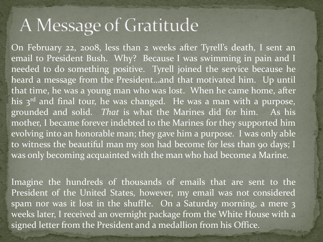## A Message of Gratitude

On February 22, 2008, less than 2 weeks after Tyrell's death, I sent an email to President Bush. Why? Because I was swimming in pain and I needed to do something positive. Tyrell joined the service because he heard a message from the President…and that motivated him. Up until that time, he was a young man who was lost. When he came home, after his 3<sup>rd</sup> and final tour, he was changed. He was a man with a purpose, grounded and solid. *That* is what the Marines did for him. As his mother, I became forever indebted to the Marines for they supported him evolving into an honorable man; they gave him a purpose. I was only able to witness the beautiful man my son had become for less than 90 days; I was only becoming acquainted with the man who had become a Marine.

Imagine the hundreds of thousands of emails that are sent to the President of the United States, however, my email was not considered spam nor was it lost in the shuffle. On a Saturday morning, a mere 3 weeks later, I received an overnight package from the White House with a signed letter from the President and a medallion from his Office.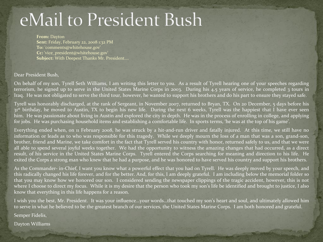### eMail to President Bush

#### **From:** Dayton

**Sent:** Friday, February 22, 2008 1:32 PM **To:** 'comments@whitehouse.gov' **Cc:** 'vice\_president@whitehouse.gov' **Subject:** With Deepest Thanks Mr. President....

#### Dear President Bush,

On behalf of my son, Tyrell Seth Williams, I am writing this letter to you. As a result of Tyrell hearing one of your speeches regarding terrorism, he signed up to serve in the United States Marine Corps in 2003. During his 4.5 years of service, he completed 3 tours in Iraq. He was not obligated to serve the third tour, however, he wanted to support his brothers and do his part to ensure they stayed safe.

Tyrell was honorably discharged, at the rank of Sergeant, in November 2007, returned to Bryan, TX. On 20 December,  $\frac{1}{2}$  days before his 31<sup>st</sup> birthday, he moved to Austin, TX to begin his new life. During the next 6 weeks, Tyrell was the happiest that I have ever seen him. He was passionate about living in Austin and explored the city in depth. He was in the process of enrolling in college, and applying for jobs. He was purchasing household items and establishing a comfortable life. In sports terms, 'he was at the top of his game'.

Everything ended when, on 11 February 2008, he was struck by a hit-and-run driver and fatally injured. At this time, we still have no information or leads as to who was responsible for this tragedy. While we deeply mourn the loss of a man that was a son, grand-son, brother, friend and Marine, we take comfort in the fact that Tyrell served his country with honor, returned safely to us, and that we were all able to spend several joyful weeks together. We had the opportunity to witness the amazing changes that had occurred, as a direct result, of his service in the United States Marine Corps. Tyrell entered the Corps searching for meaning and direction to his life. He exited the Corps a strong man who knew that he had a purpose, and he was honored to have served his country and support his brothers.

As the Commander- in-Chief, I want you know what a powerful effect that you had on Tyrell. He was deeply moved by your speech, and this radically changed his life forever, and for the better. And, for this, I am deeply grateful. I am including below the memorial folder so that you may know how we honored our son. I considered sending the newspaper clippings of the tragic accident, however, this is not where I choose to direct my focus. While it is my desire that the person who took my son's life be identified and brought to justice, I also know that everything in this life happens for a reason.

I wish you the best, Mr. President. It was your influence…your words…that touched my son's heart and soul, and ultimately allowed him to serve in what he believed to be the greatest branch of our services, the United States Marine Corps. I am both honored and grateful.

Semper Fidelis,

#### Dayton Williams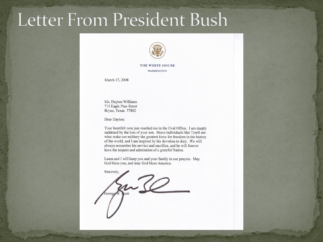### Letter From President Bush



THE WHITE HOUSE **WASHINGTON** 

March 17, 2008

Ms. Dayton Williams 715 Eagle Pass Street Bryan, Texas 77802

Dear Dayton:

Your heartfelt note just reached me in the Oval Office. I am deeply saddened by the loss of your son. Brave individuals like Tyrell are what make our military the greatest force for freedom in the history of the world, and I am inspired by his devotion to duty. We will always remember his service and sacrifice, and he will forever have the respect and admiration of a grateful Nation.

Laura and I will keep you and your family in our prayers. May God bless you, and may God bless America.

Sincerely,

mile George W. Bush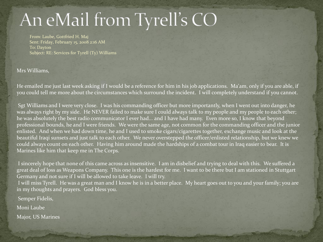# An eMail from Tyrell's CO

From: Laube, Gottfried H. Maj Sent: Friday, February 15, 2008 2:16 AM To: Dayton Subject: RE: Services for Tyrell (Ty) Williams

#### Mrs Williams,

He emailed me just last week asking if I would be a reference for him in his job applications. Ma'am, only if you are able, if you could tell me more about the circumstances which surround the incident. I will completely understand if you cannot.

Sgt Williams and I were very close. I was his commanding officer but more importantly, when I went out into danger, he was always right by my side. He NEVER failed to make sure I could always talk to my people and my people to each other; he was absolutely the best radio communicator I ever had... and I have had many. Even more so, I know that beyond professional bounds, he and I were friends. We were the same age, not common for the commanding officer and the junior enlisted. And when we had down time, he and I used to smoke cigars/cigarettes together, exchange music and look at the beautiful Iraqi sunsets and just talk to each other. We never overstepped the officer/enlisted relationship, but we knew we could always count on each other. Having him around made the hardships of a combat tour in Iraq easier to bear. It is Marines like him that keep me in The Corps.

I sincerely hope that none of this came across as insensitive. I am in disbelief and trying to deal with this. We suffered a great deal of loss as Weapons Company. This one is the hardest for me. I want to be there but I am stationed in Stuttgart Germany and not sure if I will be allowed to take leave. I will try. I will miss Tyrell. He was a great man and I know he is in a better place. My heart goes out to you and your family; you are in my thoughts and prayers. God bless you.

Semper Fidelis,

Moni Laube

Major, US Marines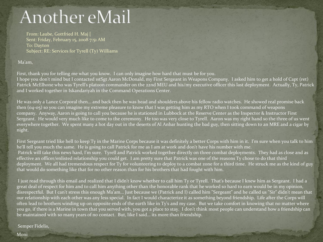## Another eMail

From: Laube, Gottfried H. Maj [ Sent: Friday, February 15, 2008 7:51 AM To: Dayton Subject: RE: Services for Tyrell (Ty) Williams

#### Ma'am,

First, thank you for telling me what you know. I can only imagine how hard that must be for you. I hope you don't mind but I contacted 1stSgt Aaron McDonald, my First Sergeant in Weapons Company. I asked him to get a hold of Capt (ret) Patrick McElhone who was Tyrell's platoon commander on the 22nd MEU and his/my executive officer this last deployment. Actually, Ty, Patrick and I worked together in Iskandariyah in the Command Operations Center.

He was only a Lance Corporal then... and back then he was head and shoulders above his fellow radio watches. He showed real promise back then (04-05) so you can imagine my extreme pleasure to know that I was getting him as my RTO when I took command of weapons company. Anyway, Aaron is going to call you because he is stationed in Lubbock at the Reserve Center as the Inspector & Instructor First Sergeant. He would very much like to come to the ceremony. He too was very close to Tyrell. Aaron was my right hand so the three of us went everywhere together. We spent many a hot day out in the deserts of Al Anbar hunting the bad guy, then sitting down to an MRE and a cigar by night.

First Sergeant tried like hell to keep Ty in the Marine Corps because it was definitely a better Corps with him in it. I'm sure when you talk to him he'll tell you much the same. He is going to call Patrick for me as I am at work and don't have his number with me. Patrick will take this news hard, I'm sure. Tyrell and Patrick worked together directly on three combat deployments. They had as close and as effective an officer/enlisted relationship you could get. I am pretty sure that Patrick was one of the reasons Ty chose to do that third deployment. We all had tremendous respect for Ty for volunteering to deploy to a combat zone for a third time. He struck me as the kind of guy that would do something like that for no other reason than for his brothers that had fought with him.

I just read through this email and realized that I didn't know whether to call him Ty or Tyrell. That's because I knew him as Sergeant. I had a great deal of respect for him and to call him anything other than the honorable rank that he worked so hard to earn would be in my opinion, disrespectful. But I can't stress this enough Ma'am... Just because we (Patrick and I) called him "Sergeant" and he called us "Sir" didn't mean that our relationship with each other was any less special. In fact I would characterize it as something beyond friendship. Life after the Corps will often lead to brothers winding up on opposite ends of the earth like in Ty's and my case. But we take comfort in knowing that no matter where you go, if there is a Marine in town that you served with, you got a place to stay. I don't think most people can understand how a friendship can be maintained with so many years of no contact. But, like I said... its more than friendship.

Semper Fidelis,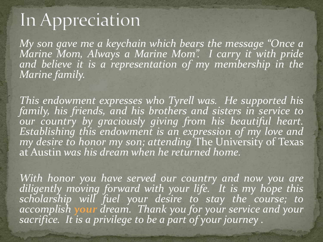### In Appreciation

*My son gave me a keychain which bears the message "Once a Marine Mom, Always a Marine Mom". I carry it with pride and believe it is a representation of my membership in the Marine family.*

*This endowment expresses who Tyrell was. He supported his family, his friends, and his brothers and sisters in service to our country by graciously giving from his beautiful heart. Establishing this endowment is an expression of my love and my desire to honor my son; attending* The University of Texas at Austin *was his dream when he returned home.*

*With honor you have served our country and now you are diligently moving forward with your life. It is my hope this scholarship will fuel your desire to stay the course; to accomplish your dream. Thank you for your service and your sacrifice. It is a privilege to be a part of your journey .*